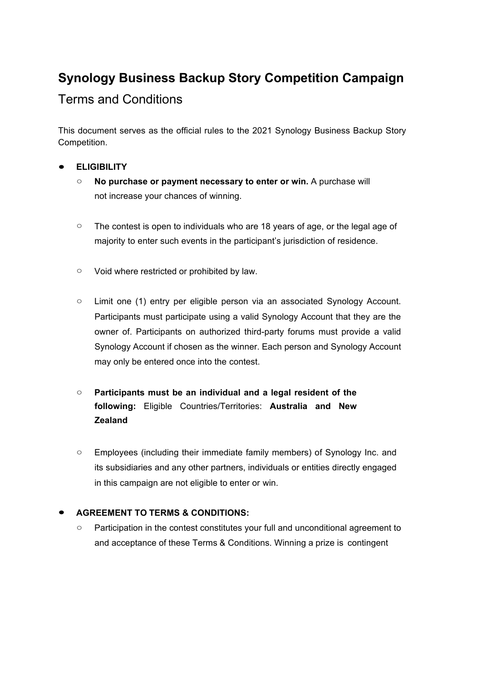# **Synology Business Backup Story Competition Campaign**

## Terms and Conditions

This document serves as the official rules to the 2021 Synology Business Backup Story Competition.

## ● **ELIGIBILITY**

- **No purchase or payment necessary to enter or win.** A purchase will not increase your chances of winning.
- The contest is open to individuals who are 18 years of age, or the legal age of majority to enter such events in the participant's jurisdiction of residence.
- Void where restricted or prohibited by law.
- Limit one (1) entry per eligible person via an associated Synology Account. Participants must participate using a valid Synology Account that they are the owner of. Participants on authorized third-party forums must provide a valid Synology Account if chosen as the winner. Each person and Synology Account may only be entered once into the contest.
- **Participants must be an individual and a legal resident of the following:** Eligible Countries/Territories: **Australia and New Zealand**
- Employees (including their immediate family members) of Synology Inc. and its subsidiaries and any other partners, individuals or entities directly engaged in this campaign are not eligible to enter or win.

## **● AGREEMENT TO TERMS & CONDITIONS:**

○ Participation in the contest constitutes your full and unconditional agreement to and acceptance of these Terms & Conditions. Winning a prize is contingent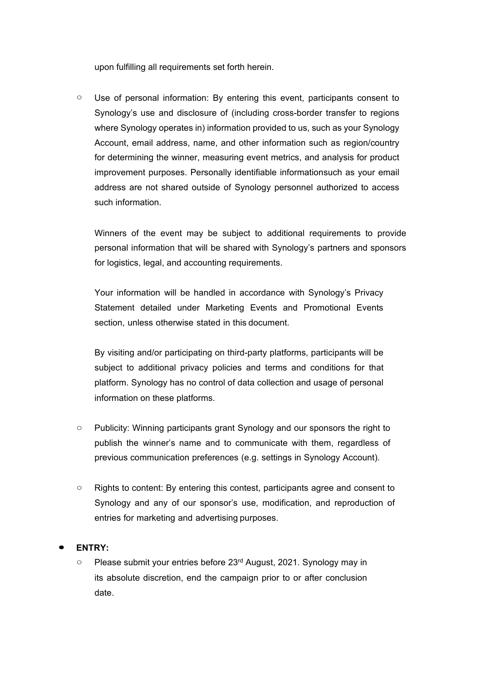upon fulfilling all requirements set forth herein.

○ Use of personal information: By entering this event, participants consent to Synology's use and disclosure of (including cross-border transfer to regions where Synology operates in) information provided to us, such as your Synology Account, email address, name, and other information such as region/country for determining the winner, measuring event metrics, and analysis for product improvement purposes. Personally identifiable informationsuch as your email address are not shared outside of Synology personnel authorized to access such information.

Winners of the event may be subject to additional requirements to provide personal information that will be shared with Synology's partners and sponsors for logistics, legal, and accounting requirements.

Your information will be handled in accordance with Synology's Privacy Statement detailed under Marketing Events and Promotional Events section, unless otherwise stated in this document.

By visiting and/or participating on third-party platforms, participants will be subject to additional privacy policies and terms and conditions for that platform. Synology has no control of data collection and usage of personal information on these platforms.

- Publicity: Winning participants grant Synology and our sponsors the right to publish the winner's name and to communicate with them, regardless of previous communication preferences (e.g. settings in Synology Account).
- Rights to content: By entering this contest, participants agree and consent to Synology and any of our sponsor's use, modification, and reproduction of entries for marketing and advertising purposes.
- **ENTRY:**
	- Please submit your entries before 23<sup>rd</sup> August, 2021. Synology may in its absolute discretion, end the campaign prior to or after conclusion date.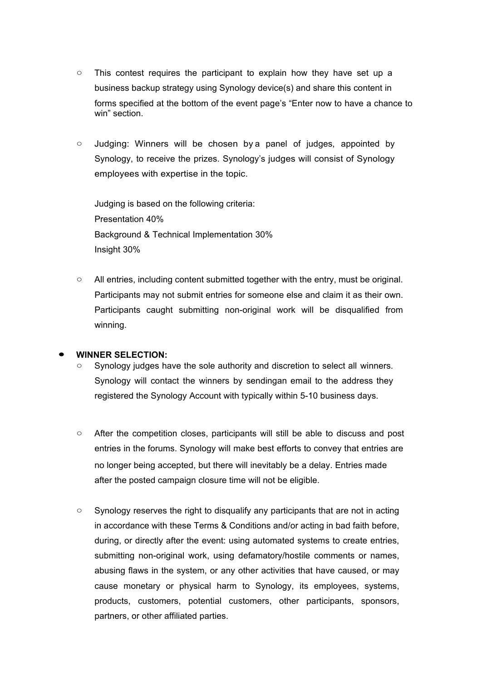- This contest requires the participant to explain how they have set up a business backup strategy using Synology device(s) and share this content in forms specified at the bottom of the event page's "Enter now to have a chance to win" section.
- Judging: Winners will be chosen by a panel of judges, appointed by Synology, to receive the prizes. Synology's judges will consist of Synology employees with expertise in the topic.

Judging is based on the following criteria: Presentation 40% Background & Technical Implementation 30% Insight 30%

○ All entries, including content submitted together with the entry, must be original. Participants may not submit entries for someone else and claim it as their own. Participants caught submitting non-original work will be disqualified from winning.

#### ● **WINNER SELECTION:**

- Synology judges have the sole authority and discretion to select all winners. Synology will contact the winners by sendingan email to the address they registered the Synology Account with typically within 5-10 business days.
- After the competition closes, participants will still be able to discuss and post entries in the forums. Synology will make best efforts to convey that entries are no longer being accepted, but there will inevitably be a delay. Entries made after the posted campaign closure time will not be eligible.
- Synology reserves the right to disqualify any participants that are not in acting in accordance with these Terms & Conditions and/or acting in bad faith before, during, or directly after the event: using automated systems to create entries, submitting non-original work, using defamatory/hostile comments or names, abusing flaws in the system, or any other activities that have caused, or may cause monetary or physical harm to Synology, its employees, systems, products, customers, potential customers, other participants, sponsors, partners, or other affiliated parties.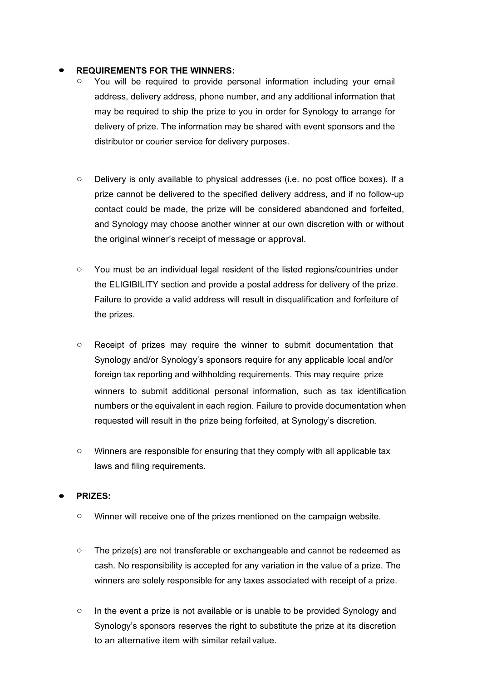#### **● REQUIREMENTS FOR THE WINNERS:**

- You will be required to provide personal information including your email address, delivery address, phone number, and any additional information that may be required to ship the prize to you in order for Synology to arrange for delivery of prize. The information may be shared with event sponsors and the distributor or courier service for delivery purposes.
- Delivery is only available to physical addresses (i.e. no post office boxes). If a prize cannot be delivered to the specified delivery address, and if no follow-up contact could be made, the prize will be considered abandoned and forfeited, and Synology may choose another winner at our own discretion with or without the original winner's receipt of message or approval.
- You must be an individual legal resident of the listed regions/countries under the ELIGIBILITY section and provide a postal address for delivery of the prize. Failure to provide a valid address will result in disqualification and forfeiture of the prizes.
- Receipt of prizes may require the winner to submit documentation that Synology and/or Synology's sponsors require for any applicable local and/or foreign tax reporting and withholding requirements. This may require prize winners to submit additional personal information, such as tax identification numbers or the equivalent in each region. Failure to provide documentation when requested will result in the prize being forfeited, at Synology's discretion.
- Winners are responsible for ensuring that they comply with all applicable tax laws and filing requirements.

#### ● **PRIZES:**

- Winner will receive one of the prizes mentioned on the campaign website.
- The prize(s) are not transferable or exchangeable and cannot be redeemed as cash. No responsibility is accepted for any variation in the value of a prize. The winners are solely responsible for any taxes associated with receipt of a prize.
- In the event a prize is not available or is unable to be provided Synology and Synology's sponsors reserves the right to substitute the prize at its discretion to an alternative item with similar retail value.